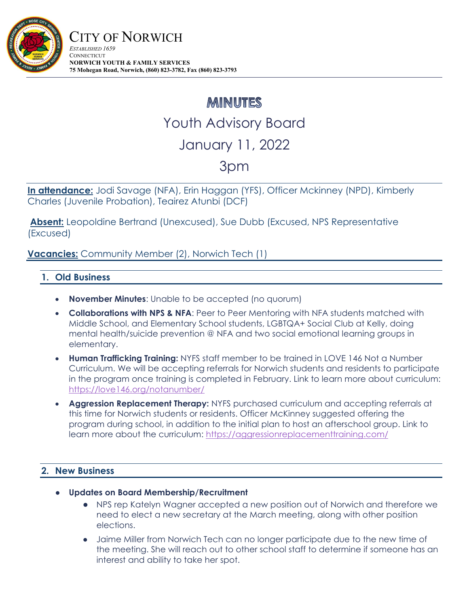

## **MINUTES** Youth Advisory Board January 11, 2022

## 3pm

**In attendance:** Jodi Savage (NFA), Erin Haggan (YFS), Officer Mckinney (NPD), Kimberly Charles (Juvenile Probation), Teairez Atunbi (DCF)

 **Absent:** Leopoldine Bertrand (Unexcused), Sue Dubb (Excused, NPS Representative (Excused)

**Vacancies:** Community Member (2), Norwich Tech (1)

## **1. Old Business**

- **November Minutes**: Unable to be accepted (no quorum)
- **Collaborations with NPS & NFA**: Peer to Peer Mentoring with NFA students matched with Middle School, and Elementary School students, LGBTQA+ Social Club at Kelly, doing mental health/suicide prevention @ NFA and two social emotional learning groups in elementary.
- **Human Trafficking Training:** NYFS staff member to be trained in LOVE 146 Not a Number Curriculum. We will be accepting referrals for Norwich students and residents to participate in the program once training is completed in February. Link to learn more about curriculum: https://love146.org/notanumber/
- **Aggression Replacement Therapy:** NYFS purchased curriculum and accepting referrals at this time for Norwich students or residents. Officer McKinney suggested offering the program during school, in addition to the initial plan to host an afterschool group. Link to learn more about the curriculum: https://aggressionreplacementtraining.com/

## **2. New Business**

- **Updates on Board Membership/Recruitment** 
	- NPS rep Katelyn Wagner accepted a new position out of Norwich and therefore we need to elect a new secretary at the March meeting, along with other position elections.
	- Jaime Miller from Norwich Tech can no longer participate due to the new time of the meeting. She will reach out to other school staff to determine if someone has an interest and ability to take her spot.